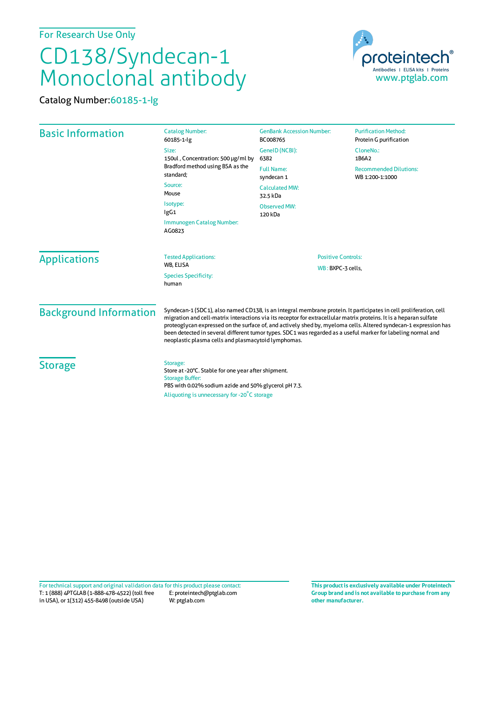For Research Use Only

## CD138/Syndecan-1 Monoclonal antibody

Catalog Number:60185-1-Ig



| <b>Basic Information</b>      | <b>Catalog Number:</b><br>60185-1-lg                                                                                                                                                                                                                                                                                                                                                                                                                                                                                               | <b>GenBank Accession Number:</b><br>BC008765   | <b>Purification Method:</b><br>Protein G purification |
|-------------------------------|------------------------------------------------------------------------------------------------------------------------------------------------------------------------------------------------------------------------------------------------------------------------------------------------------------------------------------------------------------------------------------------------------------------------------------------------------------------------------------------------------------------------------------|------------------------------------------------|-------------------------------------------------------|
|                               | Size:<br>150ul, Concentration: 500 µg/ml by<br>Bradford method using BSA as the<br>standard:                                                                                                                                                                                                                                                                                                                                                                                                                                       | GeneID (NCBI):<br>6382                         | CloneNo.:<br>1B6A2                                    |
|                               |                                                                                                                                                                                                                                                                                                                                                                                                                                                                                                                                    | <b>Full Name:</b><br>syndecan 1                | <b>Recommended Dilutions:</b><br>WB 1:200-1:1000      |
|                               | Source:<br>Mouse                                                                                                                                                                                                                                                                                                                                                                                                                                                                                                                   | <b>Calculated MW:</b><br>32.5 kDa              |                                                       |
|                               | Isotype:<br>lgG1                                                                                                                                                                                                                                                                                                                                                                                                                                                                                                                   | <b>Observed MW:</b><br>120 kDa                 |                                                       |
|                               | Immunogen Catalog Number:<br>AG0823                                                                                                                                                                                                                                                                                                                                                                                                                                                                                                |                                                |                                                       |
| <b>Applications</b>           | <b>Tested Applications:</b><br>WB. ELISA                                                                                                                                                                                                                                                                                                                                                                                                                                                                                           | <b>Positive Controls:</b><br>WB: BXPC-3 cells, |                                                       |
|                               | <b>Species Specificity:</b><br>human                                                                                                                                                                                                                                                                                                                                                                                                                                                                                               |                                                |                                                       |
| <b>Background Information</b> | Syndecan-1 (SDC1), also named CD138, is an integral membrane protein. It participates in cell proliferation, cell<br>migration and cell-matrix interactions via its receptor for extracellular matrix proteins. It is a heparan sulfate<br>proteoglycan expressed on the surface of, and actively shed by, myeloma cells. Altered syndecan-1 expression has<br>been detected in several different tumor types. SDC1 was regarded as a useful marker for labeling normal and<br>neoplastic plasma cells and plasmacytoid lymphomas. |                                                |                                                       |
| <b>Storage</b>                | Storage:<br>Store at -20°C. Stable for one year after shipment.<br><b>Storage Buffer:</b><br>PBS with 0.02% sodium azide and 50% glycerol pH 7.3.<br>Aliquoting is unnecessary for -20°C storage                                                                                                                                                                                                                                                                                                                                   |                                                |                                                       |

T: 1 (888) 4PTGLAB (1-888-478-4522) (toll free in USA), or 1(312) 455-8498 (outside USA) E: proteintech@ptglab.com W: ptglab.com Fortechnical support and original validation data forthis product please contact: **This productis exclusively available under Proteintech**

**Group brand and is not available to purchase from any other manufacturer.**